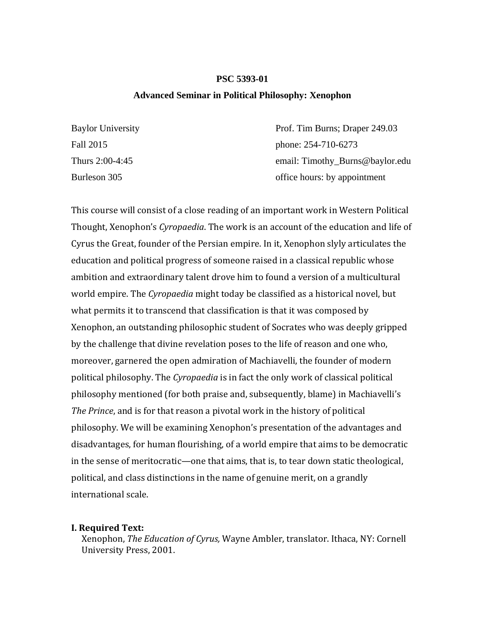## **PSC 5393-01**

#### **Advanced Seminar in Political Philosophy: Xenophon**

| <b>Baylor University</b> | Prof. Tim Burns; Draper 249.03  |
|--------------------------|---------------------------------|
| Fall 2015                | phone: 254-710-6273             |
| Thurs 2:00-4:45          | email: Timothy_Burns@baylor.edu |
| Burleson 305             | office hours: by appointment    |

This course will consist of a close reading of an important work in Western Political Thought, Xenophon's *Cyropaedia*. The work is an account of the education and life of Cyrus the Great, founder of the Persian empire. In it, Xenophon slyly articulates the education and political progress of someone raised in a classical republic whose ambition and extraordinary talent drove him to found a version of a multicultural world empire. The *Cyropaedia* might today be classified as a historical novel, but what permits it to transcend that classification is that it was composed by Xenophon, an outstanding philosophic student of Socrates who was deeply gripped by the challenge that divine revelation poses to the life of reason and one who, moreover, garnered the open admiration of Machiavelli, the founder of modern political philosophy. The *Cyropaedia* is in fact the only work of classical political philosophy mentioned (for both praise and, subsequently, blame) in Machiavelli's *The Prince*, and is for that reason a pivotal work in the history of political philosophy. We will be examining Xenophon's presentation of the advantages and disadvantages, for human flourishing, of a world empire that aims to be democratic in the sense of meritocratic—one that aims, that is, to tear down static theological, political, and class distinctions in the name of genuine merit, on a grandly international scale.

#### **I. Required Text:**

 Xenophon, *The Education of Cyrus,* Wayne Ambler, translator. Ithaca, NY: Cornell University Press, 2001.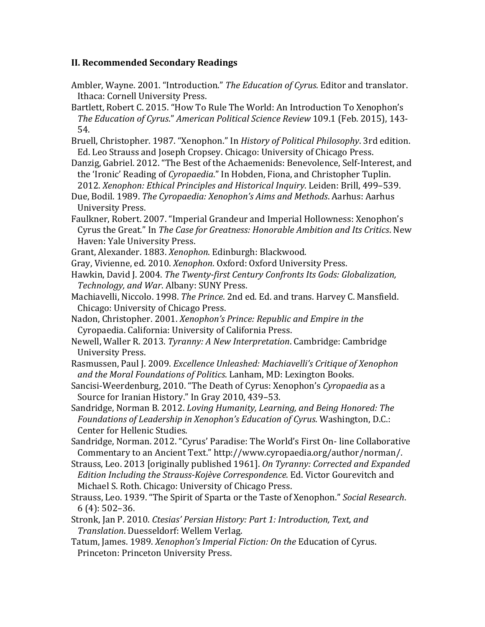# **II. Recommended Secondary Readings**

- Ambler, Wayne. 2001. "Introduction." The Education of Cyrus. Editor and translator. Ithaca: Cornell University Press.
- Bartlett, Robert C. 2015. "How To Rule The World: An Introduction To Xenophon's *The Education of Cyrus*." *American Political Science Review* 109.1 (Feb. 2015), 143‐ 54.
- Bruell, Christopher. 1987. "Xenophon." In *History of Political Philosophy*. 3rd edition. Ed. Leo Strauss and Joseph Cropsey. Chicago: University of Chicago Press.
- Danzig, Gabriel. 2012. "The Best of the Achaemenids: Benevolence, Self-Interest, and the 'Ironic' Reading of *Cyropaedia*." In Hobden, Fiona, and Christopher Tuplin. 2012. *Xenophon: Ethical Principles and Historical Inquiry*. Leiden: Brill, 499–539.
- Due, Bodil. 1989. *The Cyropaedia: Xenophon's Aims and Methods*. Aarhus: Aarhus University Press.
- Faulkner, Robert. 2007. "Imperial Grandeur and Imperial Hollowness: Xenophon's Cyrus the Great." In *The Case for Greatness: Honorable Ambition and Its Critics*. New Haven: Yale University Press.
- Grant, Alexander. 1883. *Xenophon*. Edinburgh: Blackwood.
- Gray, Vivienne, ed. 2010. *Xenophon*. Oxford: Oxford University Press.
- Hawkin, David J. 2004. *The Twenty‐first Century Confronts Its Gods: Globalization, Technology, and War*. Albany: SUNY Press.
- Machiavelli, Niccolo. 1998. *The Prince*. 2nd ed. Ed. and trans. Harvey C. Mansfield. Chicago: University of Chicago Press.
- Nadon, Christopher. 2001. *Xenophon's Prince: Republic and Empire in the*  Cyropaedia. California: University of California Press.
- Newell, Waller R. 2013. *Tyranny: A New Interpretation*. Cambridge: Cambridge University Press.
- Rasmussen, Paul J. 2009. *Excellence Unleashed: Machiavelli's Critique of Xenophon and the Moral Foundations of Politics*. Lanham, MD: Lexington Books.
- Sancisi-Weerdenburg, 2010. "The Death of Cyrus: Xenophon's *Cyropaedia* as a Source for Iranian History." In Gray 2010, 439-53.
- Sandridge, Norman B. 2012. *Loving Humanity, Learning, and Being Honored: The Foundations of Leadership in Xenophon's Education of Cyrus*. Washington, D.C.: Center for Hellenic Studies.
- Sandridge, Norman. 2012. "Cyrus' Paradise: The World's First On- line Collaborative Commentary to an Ancient Text." http://www.cyropaedia.org/author/norman/.
- Strauss, Leo. 2013 [originally published 1961]. On Tyranny: Corrected and Expanded  *Edition Including the Strauss‐Kojève Correspondence*. Ed. Victor Gourevitch and Michael S. Roth. Chicago: University of Chicago Press.
- Strauss, Leo. 1939. "The Spirit of Sparta or the Taste of Xenophon." *Social Research*.  $6(4): 502-36.$
- Stronk, Jan P. 2010. *Ctesias' Persian History: Part 1: Introduction, Text, and Translation*. Duesseldorf: Wellem Verlag.
- Tatum, James. 1989. *Xenophon's Imperial Fiction: On the* Education of Cyrus. Princeton: Princeton University Press.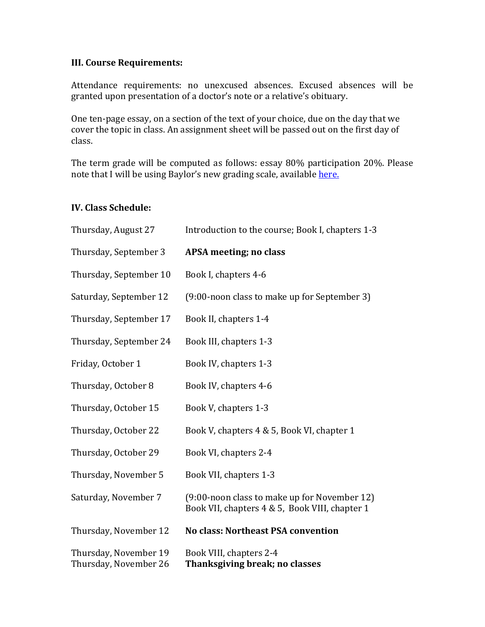## **III. Course Requirements:**

Attendance requirements: no unexcused absences. Excused absences will be granted upon presentation of a doctor's note or a relative's obituary.

One ten-page essay, on a section of the text of your choice, due on the day that we cover the topic in class. An assignment sheet will be passed out on the first day of class. 

The term grade will be computed as follows: essay 80% participation 20%. Please note that I will be using Baylor's new grading scale, available here.

## **IV. Class Schedule:**

| Thursday, August 27                            | Introduction to the course; Book I, chapters 1-3                                               |
|------------------------------------------------|------------------------------------------------------------------------------------------------|
| Thursday, September 3                          | APSA meeting; no class                                                                         |
| Thursday, September 10                         | Book I, chapters 4-6                                                                           |
| Saturday, September 12                         | (9:00-noon class to make up for September 3)                                                   |
| Thursday, September 17                         | Book II, chapters 1-4                                                                          |
| Thursday, September 24                         | Book III, chapters 1-3                                                                         |
| Friday, October 1                              | Book IV, chapters 1-3                                                                          |
| Thursday, October 8                            | Book IV, chapters 4-6                                                                          |
| Thursday, October 15                           | Book V, chapters 1-3                                                                           |
| Thursday, October 22                           | Book V, chapters 4 & 5, Book VI, chapter 1                                                     |
| Thursday, October 29                           | Book VI, chapters 2-4                                                                          |
| Thursday, November 5                           | Book VII, chapters 1-3                                                                         |
| Saturday, November 7                           | (9:00-noon class to make up for November 12)<br>Book VII, chapters 4 & 5, Book VIII, chapter 1 |
| Thursday, November 12                          | <b>No class: Northeast PSA convention</b>                                                      |
| Thursday, November 19<br>Thursday, November 26 | Book VIII, chapters 2-4<br>Thanksgiving break; no classes                                      |